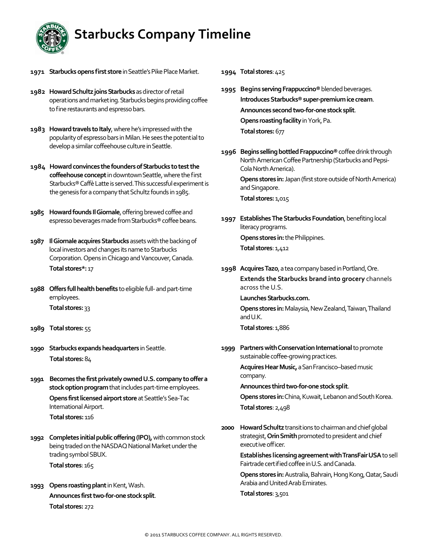

- 1971 Starbucks opens first store in Seattle's Pike Place Market.
- 1982 Howard Schultz joins Starbucks as director of retail operations and marketing. Starbucks begins providing coffee to fine restaurants and espresso bars.
- 1983 Howard travels to Italy, where he's impressed with the popularity of espresso bars in Milan. He sees the potential to develop a similar coffeehouse culture in Seattle.
- **1984 Howardconvinces thefoundersofStarbucks totestthe** coffeehouse concept in downtown Seattle, where the first Starbucks® Caffè Latte is served. This successful experiment is the genesis for a company that Schultz founds in 1985.
- **1985 Howard founds Il Giornale, offering brewed coffee and** espresso beverages made from Starbucks® coffee beans.
- **1987 Il Giornale acquires Starbucks** assets with the backing of local investors and changes its name to Starbucks Corporation. Opens in Chicago and Vancouver, Canada. **Total stores\*:**17
- **1988** Offers full health benefits to eligible full- and part-time employees. **Total stores:**33
- **1989 Total stores:**55
- **1990** Starbucks expands headquarters in Seattle. **Total stores:**84
- 1991 Becomes the first privately owned U.S. company to offer a stock option program that includes part-time employees.

**Opens first licensed airport store** at Seattle's Sea-Tac International Airport.

 **Total stores:** 116

- **1992** Completes initial public offering (IPO), with common stock being traded on the NASDAQ National Market under the trading symbol SBUX. **Total stores**:165
- **1993 Opens roasting plant** in Kent, Wash. **Announces firsttwo‐for‐onestocksplit**. **Total stores:**272

**1994 Total stores**:425

- **1995** Begins serving Frappuccino<sup>®</sup> blended beverages. **IntroducesStarbucks®super‐premiumicecream**. **Announces secondtwo‐for‐onestocksplit**. **Opens roasting facility** in York, Pa. **Total stores:**677
- **1996 Begins sellingbottledFrappuccino®**coffeedrinkthrough North American Coffee Partnership (Starbucks and Pepsi-Cola North America).

**Opens stores in:** Japan (first store outside of North America) and Singapore.

**Total stores:** 1,015

- **1997 Establishes The Starbucks Foundation, benefiting local** literacy programs.  **Opens stores in:**thePhilippines. **Total stores**:1,412
- 1998 Acquires Tazo, a tea company based in Portland, Ore. **Extends the Starbucks brand into grocery** channels across the U.S.

Launches Starbucks.com.

**Opens stores in: Malaysia, New Zealand, Taiwan, Thailand** andU.K.

**Total stores**:1,886

**1999** Partners with Conservation International to promote sustainable coffee-growing practices.

> Acquires Hear Music, a San Francisco–based music company.

**Announces thirdtwo‐for‐onestocksplit**.

**Opens stores in:** China, Kuwait, Lebanon and South Korea. **Total stores**:2,498

**2000 Howard Schultz** transitions to chairman and chief global strategist, Orin Smith promoted to president and chief executive officer.

> **Establishes licensingagreementwithTransFairUSA**tosell Fairtrade certified coffee in U.S. and Canada.

> **Opens stores in:** Australia, Bahrain, Hong Kong, Qatar, Saudi Arabia and United Arab Emirates.

**Total stores**:3,501